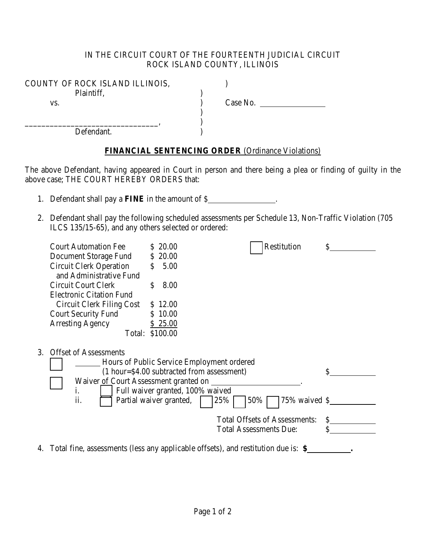## IN THE CIRCUIT COURT OF THE FOURTEENTH JUDICIAL CIRCUIT ROCK ISLAND COUNTY, ILLINOIS

| COUNTY OF ROCK ISLAND ILLINOIS, |          |
|---------------------------------|----------|
| Plaintiff,                      |          |
| VS.                             | Case No. |
|                                 |          |
|                                 |          |
| Defendant.                      |          |

## **FINANCIAL SENTENCING ORDER** (Ordinance Violations)

The above Defendant, having appeared in Court in person and there being a plea or finding of guilty in the above case; THE COURT HEREBY ORDERS that:

- 1. Defendant shall pay a **FINE** in the amount of \$ .
- 2. Defendant shall pay the following scheduled assessments per Schedule 13, Non-Traffic Violation (705 ILCS 135/15-65), and any others selected or ordered:

| Hours of Public Service Employment ordered<br>(1 hour=\$4.00 subtracted from assessment) | \$                                                                        |
|------------------------------------------------------------------------------------------|---------------------------------------------------------------------------|
|                                                                                          |                                                                           |
| Partial waiver granted,<br>50%<br>25%<br>75% waived \$                                   |                                                                           |
| <b>Total Offsets of Assessments:</b>                                                     | \$                                                                        |
| <b>Total Assessments Due:</b>                                                            | \$                                                                        |
|                                                                                          | Waiver of Court Assessment granted on<br>Full waiver granted, 100% waived |